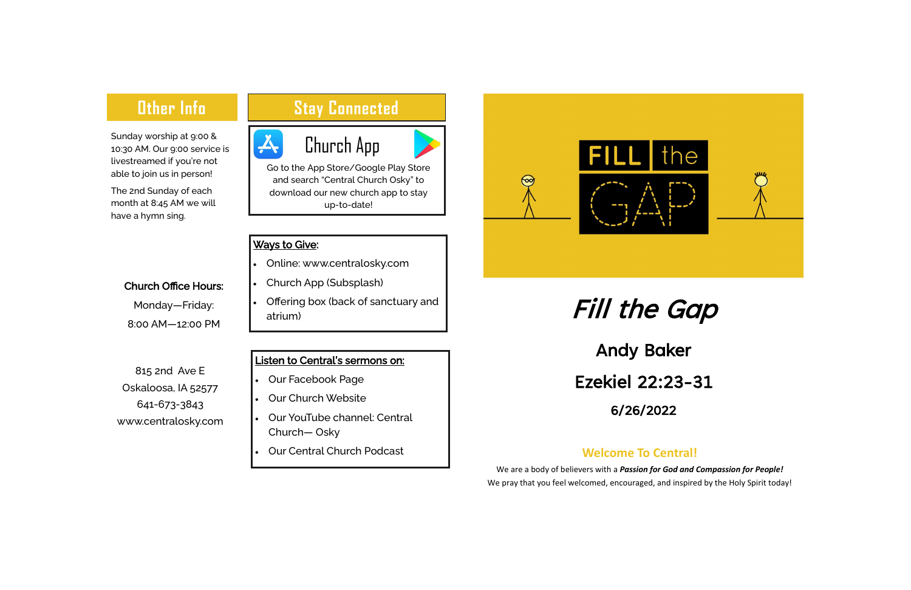## **Other Info**

Sunday worship at 9:00 & 10:30 AM. Our 9:00 service is livestreamed if you're not able to join us in person!

The 2nd Sunday of each month at 8:45 AM we will have a hymn sing.

## **Stay Connected**

#### Church Office Hours:

Monday—Friday: 8:00 AM—12:00 PM

# Fill the Gap

Andy Baker Ezekiel 22:23-31 6/26/2022

Church App

Go to the App Store/Google Play Store and search "Central Church Osky" to download our new church app to stay up-to-date!

#### **Ways to Give:**

I

<u>A</u>

### **Welcome To Central!**

We are a body of believers with a *Passion for God and Compassion for People!* We pray that you feel welcomed, encouraged, and inspired by the Holy Spirit today!



- Online: www.centralosky.com
- Church App (Subsplash)
- Offering box (back of sanctuary and atrium)

815 2nd Ave E Oskaloosa, IA 52577 641-673-3843 www.centralosky.com

#### Listen to Central's sermons on:

- Our Facebook Page
- Our Church Website
- Our YouTube channel: Central Church— Osky
- Our Central Church Podcast